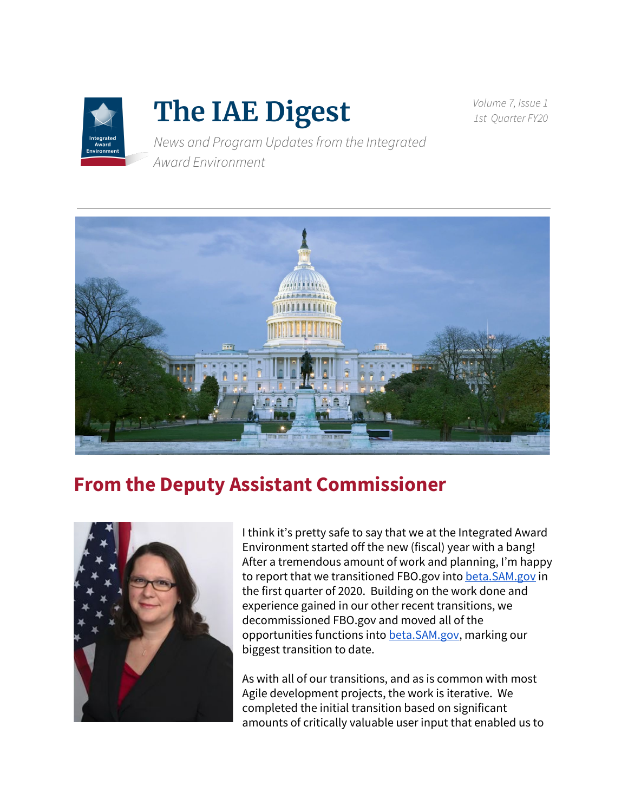

# **The IAE Digest**

*Volume 7, Issue 1 1st Quarter FY20*

*News and Program Updatesfrom the Integrated Award Environment*



## **From the Deputy Assistant Commissioner**



I think it's pretty safe to say that we at the Integrated Award Environment started off the new (fiscal) year with a bang! After a tremendous amount of work and planning, I'm happy to report that we transitioned FBO.gov into [beta.SAM.gov](https://beta.sam.gov/) in the first quarter of 2020. Building on the work done and experience gained in our other recent transitions, we decommissioned FBO.gov and moved all of the opportunities functions into [beta.SAM.gov,](https://beta.sam.gov/) marking our biggest transition to date.

As with all of our transitions, and as is common with most Agile development projects, the work is iterative. We completed the initial transition based on significant amounts of critically valuable user input that enabled us to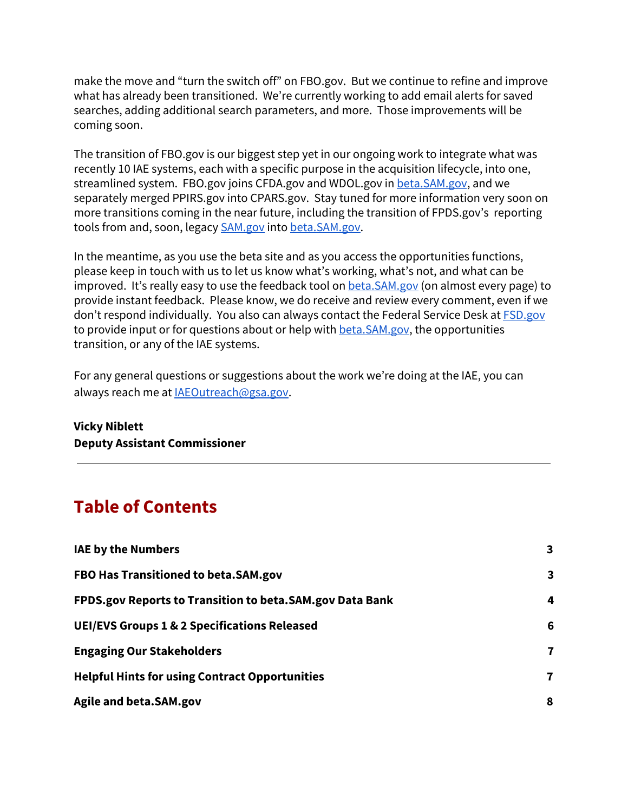make the move and "turn the switch off" on FBO.gov. But we continue to refine and improve what has already been transitioned. We're currently working to add email alerts for saved searches, adding additional search parameters, and more. Those improvements will be coming soon.

The transition of FBO.gov is our biggest step yet in our ongoing work to integrate what was recently 10 IAE systems, each with a specific purpose in the acquisition lifecycle, into one, streamlined system. FBO.gov joins CFDA.gov and WDOL.gov in [beta.SAM.gov](https://beta.sam.gov/), and we separately merged PPIRS.gov into CPARS.gov. Stay tuned for more information very soon on more transitions coming in the near future, including the transition of FPDS.gov's reporting tools from and, soon, legacy [SAM.gov](https://sam.gov/) into [beta.SAM.gov.](https://beta.sam.gov/)

In the meantime, as you use the beta site and as you access the opportunities functions, please keep in touch with us to let us know what's working, what's not, and what can be improved. It's really easy to use the feedback tool on beta. SAM.gov (on almost every page) to provide instant feedback. Please know, we do receive and review every comment, even if we don't respond individually. You also can always contact the Federal Service Desk at **[FSD.gov](https://www.fsd.gov/)** to provide input or for questions about or help with [beta.SAM.gov](https://beta.sam.gov/), the opportunities transition, or any of the IAE systems.

For any general questions or suggestions about the work we're doing at the IAE, you can always reach me at [IAEOutreach@gsa.gov](mailto:IAEOutreach@gsa.gov).

#### **Vicky Niblett Deputy Assistant Commissioner**

#### **Table of Contents**

| <b>IAE by the Numbers</b>                                | 3            |
|----------------------------------------------------------|--------------|
| FBO Has Transitioned to beta.SAM.gov                     | 3            |
| FPDS.gov Reports to Transition to beta.SAM.gov Data Bank | 4            |
| <b>UEI/EVS Groups 1 &amp; 2 Specifications Released</b>  | 6            |
| <b>Engaging Our Stakeholders</b>                         | 7            |
| <b>Helpful Hints for using Contract Opportunities</b>    | $\mathbf{7}$ |
| Agile and beta.SAM.gov                                   | 8            |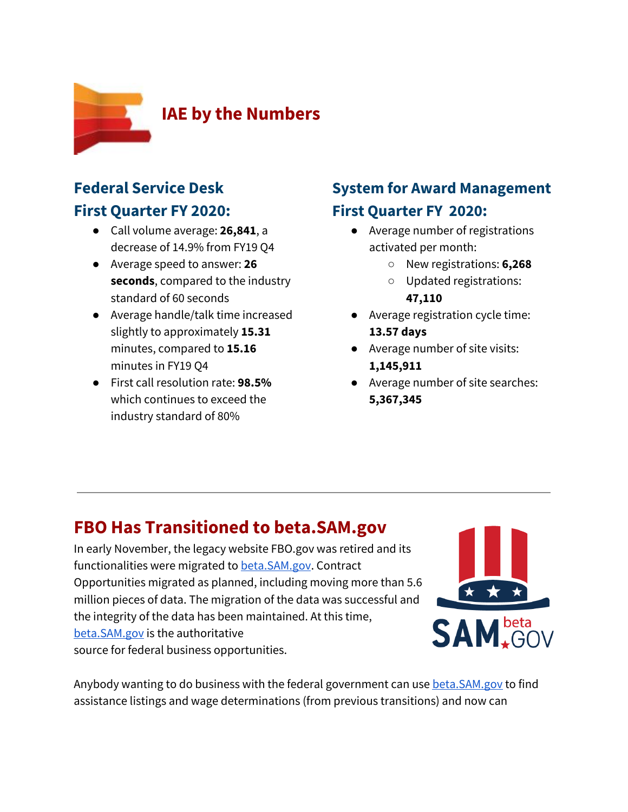<span id="page-2-0"></span>

#### **Federal Service Desk First Quarter FY 2020:**

- Call volume average: **26,841**, a decrease of 14.9% from FY19 Q4
- Average speed to answer: **26 seconds**, compared to the industry standard of 60 seconds
- Average handle/talk time increased slightly to approximately **15.31** minutes, compared to **15.16** minutes in FY19 Q4
- First call resolution rate: **98.5%** which continues to exceed the industry standard of 80%

#### **System for Award Management First Quarter FY 2020:**

- Average number of registrations activated per month:
	- New registrations: **6,268**
	- Updated registrations: **47,110**
- Average registration cycle time: **13.57 days**
- **●** Average number of site visits: **1,145,911**
- **●** Average number of site searches: **5,367,345**

## <span id="page-2-1"></span>**FBO Has Transitioned to beta.SAM.gov**

In early November, the legacy website FBO.gov was retired and its functionalities were migrated to [beta.SAM.gov](https://beta.sam.gov/). Contract Opportunities migrated as planned, including moving more than 5.6 million pieces of data. The migration of the data was successful and the integrity of the data has been maintained. At this time, [beta.SAM.gov](https://beta.sam.gov/) is the authoritative source for federal business opportunities.



Anybody wanting to do business with the federal government can use [beta.SAM.gov](https://beta.sam.gov/) to find assistance listings and wage determinations (from previous transitions) and now can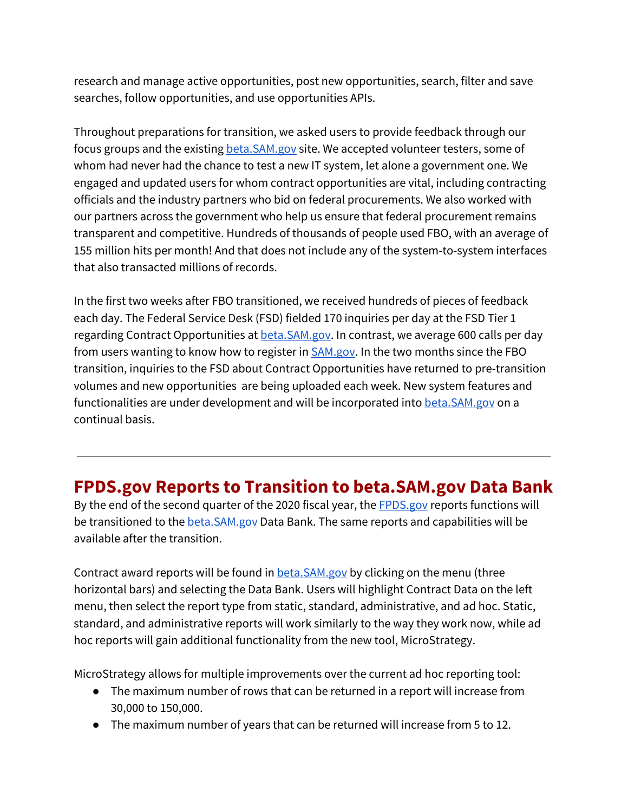research and manage active opportunities, post new opportunities, search, filter and save searches, follow opportunities, and use opportunities APIs.

Throughout preparations for transition, we asked users to provide feedback through our focus groups and the existing **[beta.SAM.gov](https://beta.sam.gov/)** site. We accepted volunteer testers, some of whom had never had the chance to test a new IT system, let alone a government one. We engaged and updated users for whom contract opportunities are vital, including contracting officials and the industry partners who bid on federal procurements. We also worked with our partners across the government who help us ensure that federal procurement remains transparent and competitive. Hundreds of thousands of people used FBO, with an average of 155 million hits per month! And that does not include any of the system-to-system interfaces that also transacted millions of records.

In the first two weeks after FBO transitioned, we received hundreds of pieces of feedback each day. The Federal Service Desk (FSD) fielded 170 inquiries per day at the FSD Tier 1 regarding Contract Opportunities at **[beta.SAM.gov](https://beta.sam.gov/).** In contrast, we average 600 calls per day from users wanting to know how to register in **[SAM.gov](https://sam.gov/).** In the two months since the FBO transition, inquiries to the FSD about Contract Opportunities have returned to pre-transition volumes and new opportunities are being uploaded each week. New system features and functionalities are under development and will be incorporated into [beta.SAM.gov](https://beta.sam.gov/) on a continual basis.

#### <span id="page-3-0"></span>**FPDS.gov Reports to Transition to beta.SAM.gov Data Bank**

By the end of the second quarter of the 2020 fiscal year, the **[FPDS.gov](https://www.fpds.gov/)** reports functions will be transitioned to the **[beta.SAM.gov](https://beta.sam.gov/)** Data Bank. The same reports and capabilities will be available after the transition.

Contract award reports will be found in **[beta.SAM.gov](https://beta.sam.gov/)** by clicking on the menu (three horizontal bars) and selecting the Data Bank. Users will highlight Contract Data on the left menu, then select the report type from static, standard, administrative, and ad hoc. Static, standard, and administrative reports will work similarly to the way they work now, while ad hoc reports will gain additional functionality from the new tool, MicroStrategy.

MicroStrategy allows for multiple improvements over the current ad hoc reporting tool:

- The maximum number of rows that can be returned in a report will increase from 30,000 to 150,000.
- The maximum number of years that can be returned will increase from 5 to 12.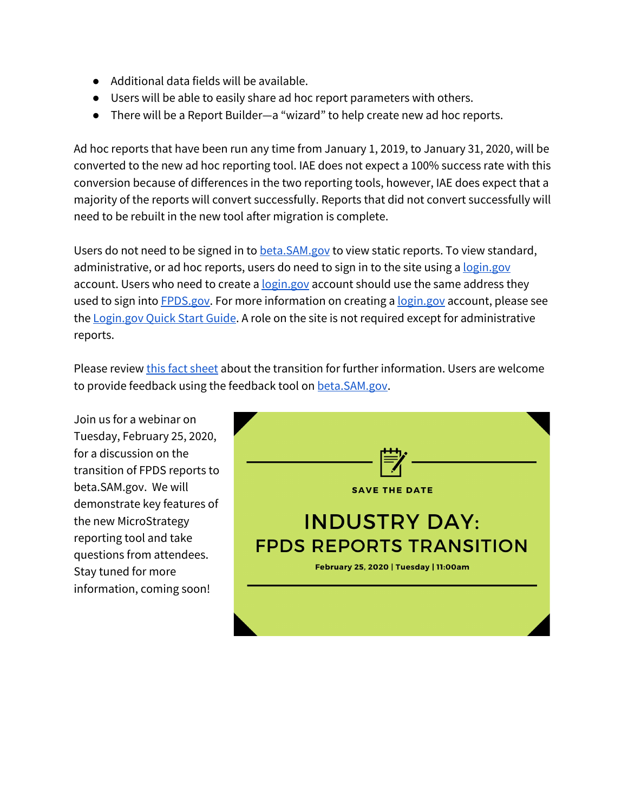- Additional data fields will be available.
- Users will be able to easily share ad hoc report parameters with others.
- There will be a Report Builder—a "wizard" to help create new ad hoc reports.

Ad hoc reports that have been run any time from January 1, 2019, to January 31, 2020, will be converted to the new ad hoc reporting tool. IAE does not expect a 100% success rate with this conversion because of differences in the two reporting tools, however, IAE does expect that a majority of the reports will convert successfully. Reports that did not convert successfully will need to be rebuilt in the new tool after migration is complete.

Users do not need to be signed in to **[beta.SAM.gov](https://beta.sam.gov/)** to view static reports. To view standard, administrative, or ad hoc reports, users do need to sign in to the site using a [login.gov](https://www.login.gov/) account. Users who need to create a [login.gov](https://www.login.gov/) account should use the same address they used to sign into **[FPDS.gov.](https://www.fpds.gov/)** For more information on creating a [login.gov](https://www.login.gov/) account, please see the [Login.gov](http://falextracts.s3.amazonaws.com/Documentation/Federal%20Hierarchy/_beta.SAM%20-%20login.gov%20Quick%20Start.docx%20%281%29%20%284%29.pdf) Quick Start Guide. A role on the site is not required except for administrative reports.

Please review this fact [sheet](https://www.gsa.gov/cdnstatic/FPDS%20Reports%20are%20Transitioning%20Fact%20Sheet%20FINAL.pdf) about the transition for further information. Users are welcome to provide feedback using the feedback tool on [beta.SAM.gov.](https://beta.sam.gov/)

Join us for a webinar on Tuesday, February 25, 2020, for a discussion on the transition of FPDS reports to beta.SAM.gov. We will demonstrate key features of the new MicroStrategy reporting tool and take questions from attendees. Stay tuned for more information, coming soon!

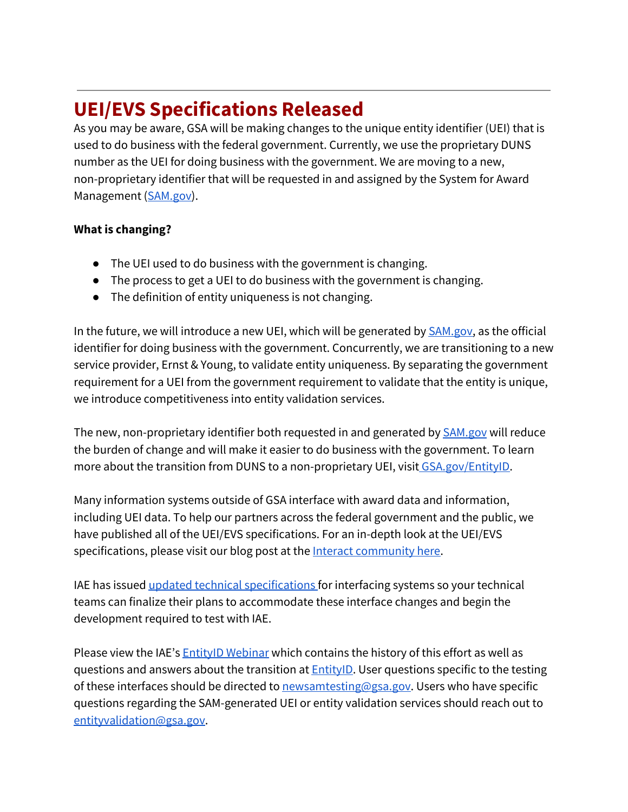# <span id="page-5-0"></span>**UEI/EVS Specifications Released**

As you may be aware, GSA will be making changes to the unique entity identifier (UEI) that is used to do business with the federal government. Currently, we use the proprietary DUNS number as the UEI for doing business with the government. We are moving to a new, non-proprietary identifier that will be requested in and assigned by the System for Award Management ([SAM.gov\)](https://sam.gov/).

#### **What is changing?**

- The UEI used to do business with the government is changing.
- The process to get a UEI to do business with the government is changing.
- The definition of entity uniqueness is not changing.

In the future, we will introduce a new UEI, which will be generated by **SAM.gov**, as the official identifier for doing business with the government. Concurrently, we are transitioning to a new service provider, Ernst & Young, to validate entity uniqueness. By separating the government requirement for a UEI from the government requirement to validate that the entity is unique, we introduce competitiveness into entity validation services.

The new, non-proprietary identifier both requested in and generated by **[SAM.gov](https://sam.gov/)** will reduce the burden of change and will make it easier to do business with the government. To learn more about the transition from DUNS to a non-proprietary UEI, visit GS[A.gov/EntityID](http://www.gsa.gov/EntityID).

Many information systems outside of GSA interface with award data and information, including UEI data. To help our partners across the federal government and the public, we have published all of the UEI/EVS specifications. For an in-depth look at the UEI/EVS specifications, please visit our blog post at the Interact [community](https://interact.gsa.gov/blog/release-uei-evs-specifications-groups-1-2) here.

IAE has issued updated technical [specifications](https://open.gsa.gov/api/entity-api/) for interfacing systems so your technical teams can finalize their plans to accommodate these interface changes and begin the development required to test with IAE.

Please view the IAE's **EntityID [Webinar](https://beta.sam.gov/cm/videos/detail?id=229&display=1)** which contains the history of this effort as well as questions and answers about the transition at **[EntityID](https://www.gsa.gov/about-us/organization/federal-acquisition-service/office-of-systems-management/integrated-award-environment-iae/iae-information-kit/unique-entity-identifier-update)**. User questions specific to the testing of these interfaces should be directed to [newsamtesting@gsa.gov](mailto:newsamtesting@gsa.gov). Users who have specific questions regarding the SAM-generated UEI or entity validation services should reach out to [entityvalidation@gsa.gov](mailto:entityvalidation@gsa.gov).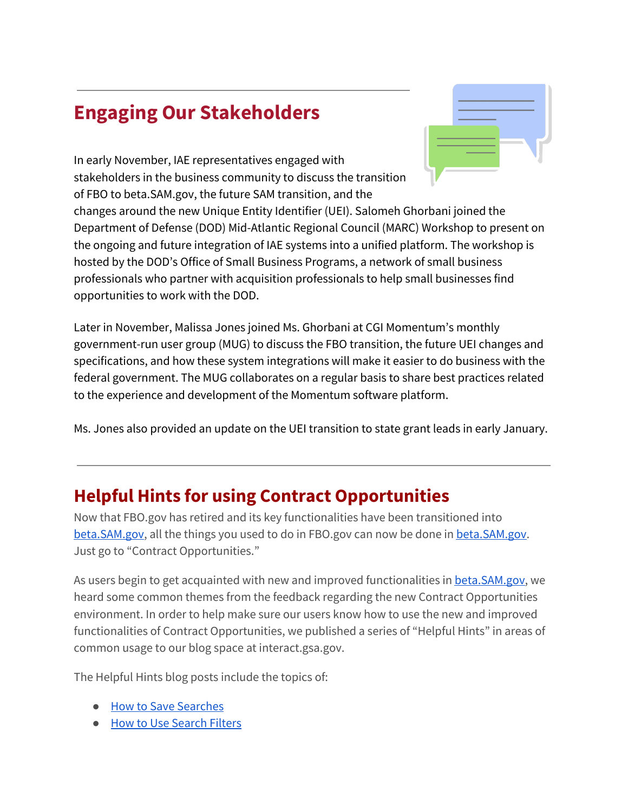# <span id="page-6-0"></span>**Engaging Our Stakeholders**

In early November, IAE representatives engaged with stakeholders in the business community to discuss the transition of FBO to [beta.SAM.gov](https://beta.sam.gov/), the future SAM transition, and the

changes around the new Unique Entity Identifier (UEI). Salomeh Ghorbani joined the Department of Defense (DOD) Mid-Atlantic Regional Council (MARC) Workshop to present on the ongoing and future integration of IAE systems into a unified platform. The workshop is hosted by the DOD's Office of Small Business Programs, a network of small business professionals who partner with acquisition professionals to help small businesses find opportunities to work with the DOD.

Later in November, Malissa Jones joined Ms. Ghorbani at CGI Momentum's monthly government-run user group (MUG) to discuss the FBO transition, the future UEI changes and specifications, and how these system integrations will make it easier to do business with the federal government. The MUG collaborates on a regular basis to share best practices related to the experience and development of the Momentum software platform.

Ms. Jones also provided an update on the UEI transition to state grant leads in early January.

#### <span id="page-6-1"></span>**Helpful Hints for using Contract Opportunities**

Now that FBO.gov has retired and its key functionalities have been transitioned into [beta.SAM.gov](https://beta.sam.gov/), all the things you used to do in FBO.gov can now be done i[n](https://beta.sam.gov/) [beta.SAM.gov.](https://beta.sam.gov/) Just go to "Contract Opportunities."

As users begi[n](https://beta.sam.gov/) to get acquainted with new and improved functionalities in **beta.SAM.gov**, we heard some common themes from the feedback regarding the new Contract Opportunities environment. In order to help make sure our users know how to use the new and improved functionalities of Contract Opportunities, we published a series of "Helpful Hints" in areas of common usage to our blog space at interact.gsa.gov.

The Helpful Hints blog posts include the topics of:

- How to Save [Searches](https://interact.gsa.gov/blog/helpful-hints-new-opportunities-function-betasamgov-how-save-searches)
- How to Use [Search](https://interact.gsa.gov/blog/helpful-hints-new-contract-opportunities-function-betasamgov-how-use-search-filters) Filters